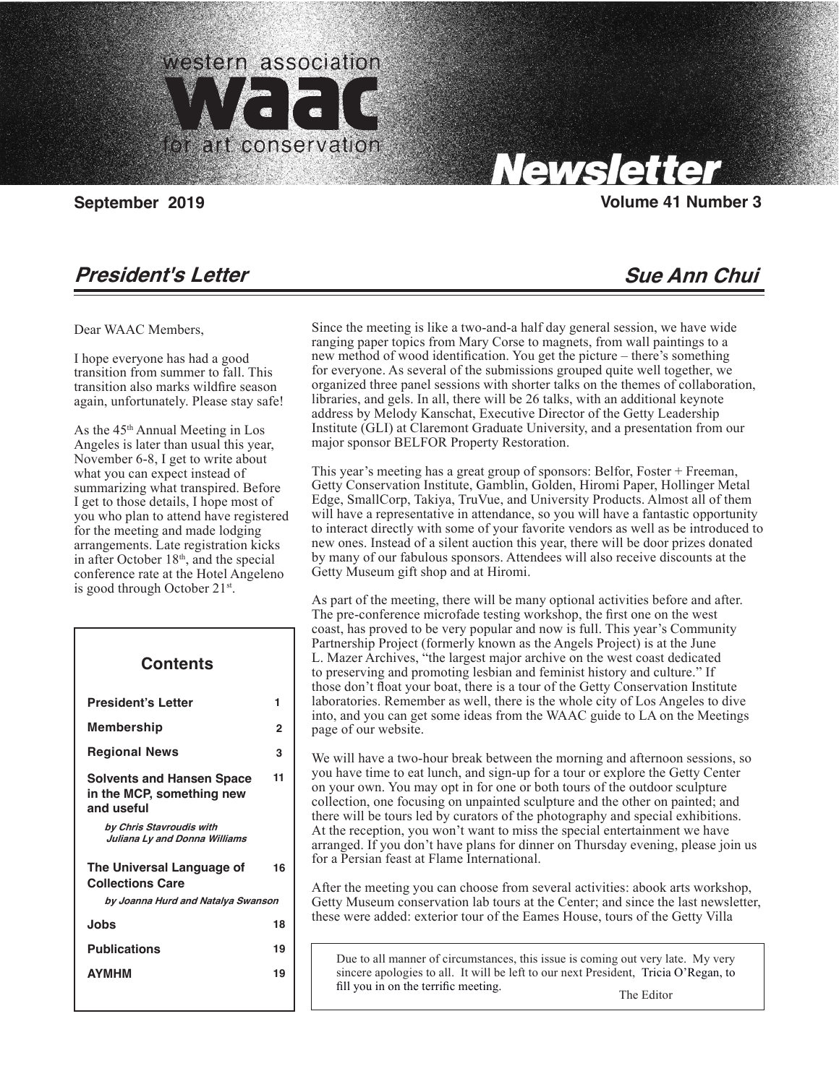

Carolyn Tallent, Editor

## Santa Monica, CA 90403

# **Newsletter**

### **September 2019** Volume 41 Number 3

### **President's Letter**

### **Sue Ann Chui**

Dear WAAC Members,

 $\overline{\phantom{a}}$ 

I hope everyone has had a good transition from summer to fall. This transition also marks wildfire season again, unfortunately. Please stay safe!

As the 45th Annual Meeting in Los Angeles is later than usual this year, November 6-8, I get to write about what you can expect instead of summarizing what transpired. Before I get to those details, I hope most of you who plan to attend have registered for the meeting and made lodging arrangements. Late registration kicks in after October 18<sup>th</sup>, and the special conference rate at the Hotel Angeleno is good through October 21st.

| Contents                                                                    |    |
|-----------------------------------------------------------------------------|----|
| <b>President's Letter</b>                                                   | 1  |
| Membership                                                                  | 2  |
| <b>Regional News</b>                                                        | з  |
| <b>Solvents and Hansen Space</b><br>in the MCP, something new<br>and useful | 11 |
| by Chris Stavroudis with<br>Juliana Ly and Donna Williams                   |    |
| The Universal Language of<br><b>Collections Care</b>                        | 16 |
| by Joanna Hurd and Natalya Swanson                                          |    |
| Jobs                                                                        | 18 |
| <b>Publications</b>                                                         | 19 |
| <b>AYMHM</b>                                                                | 19 |

Since the meeting is like a two-and-a half day general session, we have wide ranging paper topics from Mary Corse to magnets, from wall paintings to a new method of wood identification. You get the picture – there's something for everyone. As several of the submissions grouped quite well together, we organized three panel sessions with shorter talks on the themes of collaboration, libraries, and gels. In all, there will be 26 talks, with an additional keynote address by Melody Kanschat, Executive Director of the Getty Leadership Institute (GLI) at Claremont Graduate University, and a presentation from our major sponsor BELFOR Property Restoration.

This year's meeting has a great group of sponsors: Belfor, Foster + Freeman, Getty Conservation Institute, Gamblin, Golden, Hiromi Paper, Hollinger Metal Edge, SmallCorp, Takiya, TruVue, and University Products. Almost all of them will have a representative in attendance, so you will have a fantastic opportunity to interact directly with some of your favorite vendors as well as be introduced to new ones. Instead of a silent auction this year, there will be door prizes donated by many of our fabulous sponsors. Attendees will also receive discounts at the Getty Museum gift shop and at Hiromi.

As part of the meeting, there will be many optional activities before and after. The pre-conference microfade testing workshop, the first one on the west coast, has proved to be very popular and now is full. This year's Community Partnership Project (formerly known as the Angels Project) is at the June L. Mazer Archives, "the largest major archive on the west coast dedicated to preserving and promoting lesbian and feminist history and culture." If those don't float your boat, there is a tour of the Getty Conservation Institute laboratories. Remember as well, there is the whole city of Los Angeles to dive into, and you can get some ideas from the WAAC guide to LA on the Meetings page of our website.

We will have a two-hour break between the morning and afternoon sessions, so you have time to eat lunch, and sign-up for a tour or explore the Getty Center on your own. You may opt in for one or both tours of the outdoor sculpture collection, one focusing on unpainted sculpture and the other on painted; and there will be tours led by curators of the photography and special exhibitions. At the reception, you won't want to miss the special entertainment we have arranged. If you don't have plans for dinner on Thursday evening, please join us for a Persian feast at Flame International.

After the meeting you can choose from several activities: abook arts workshop, Getty Museum conservation lab tours at the Center; and since the last newsletter, these were added: exterior tour of the Eames House, tours of the Getty Villa

Due to all manner of circumstances, this issue is coming out very late. My very sincere apologies to all. It will be left to our next President, Tricia O'Regan, to fill you in on the terrific meeting. The Editor